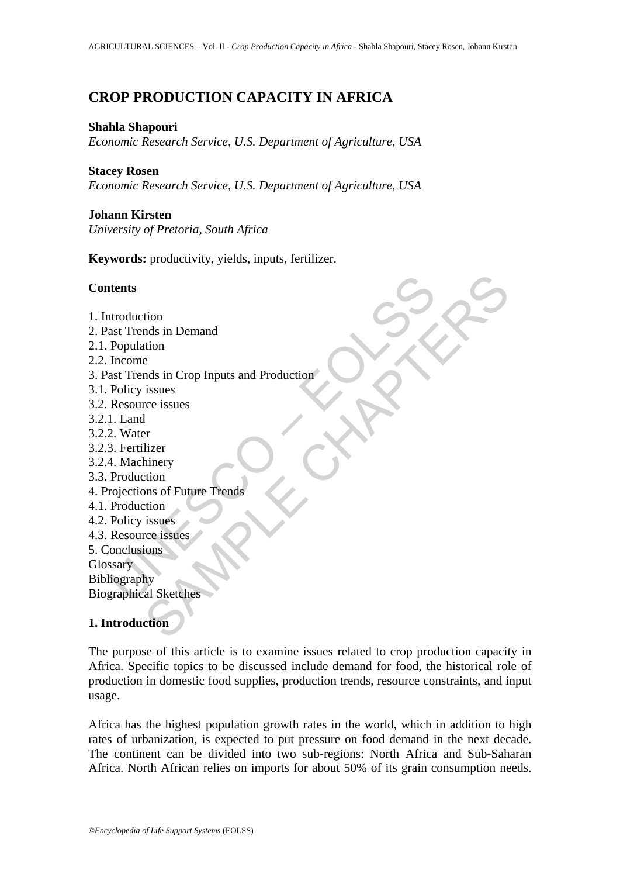# **CROP PRODUCTION CAPACITY IN AFRICA**

#### **Shahla Shapouri**

*Economic Research Service, U.S. Department of Agriculture, USA*

#### **Stacey Rosen**

*Economic Research Service, U.S. Department of Agriculture, USA*

### **Johann Kirsten**

*University of Pretoria, South Africa*

**Keywords:** productivity, yields, inputs, fertilizer.

### **Contents**

| <b>Contents</b>                              |
|----------------------------------------------|
| 1. Introduction                              |
| 2. Past Trends in Demand                     |
| 2.1. Population                              |
| 2.2. Income                                  |
| 3. Past Trends in Crop Inputs and Production |
| 3.1. Policy issues                           |
| 3.2. Resource issues                         |
| 3.2.1. Land                                  |
| 3.2.2. Water                                 |
| 3.2.3. Fertilizer                            |
| 3.2.4. Machinery                             |
| 3.3. Production                              |
| 4. Projections of Future Trends              |
| 4.1. Production                              |
| 4.2. Policy issues                           |
| 4.3. Resource issues                         |
| 5. Conclusions                               |
| Glossary                                     |
| Bibliography                                 |
| <b>Biographical Sketches</b>                 |
| 1. Introduction                              |

## **1. Introduction**

The purpose of this article is to examine issues related to crop production capacity in Africa. Specific topics to be discussed include demand for food, the historical role of production in domestic food supplies, production trends, resource constraints, and input usage.

Africa has the highest population growth rates in the world, which in addition to high rates of urbanization, is expected to put pressure on food demand in the next decade. The continent can be divided into two sub-regions: North Africa and Sub-Saharan Africa. North African relies on imports for about 50% of its grain consumption needs.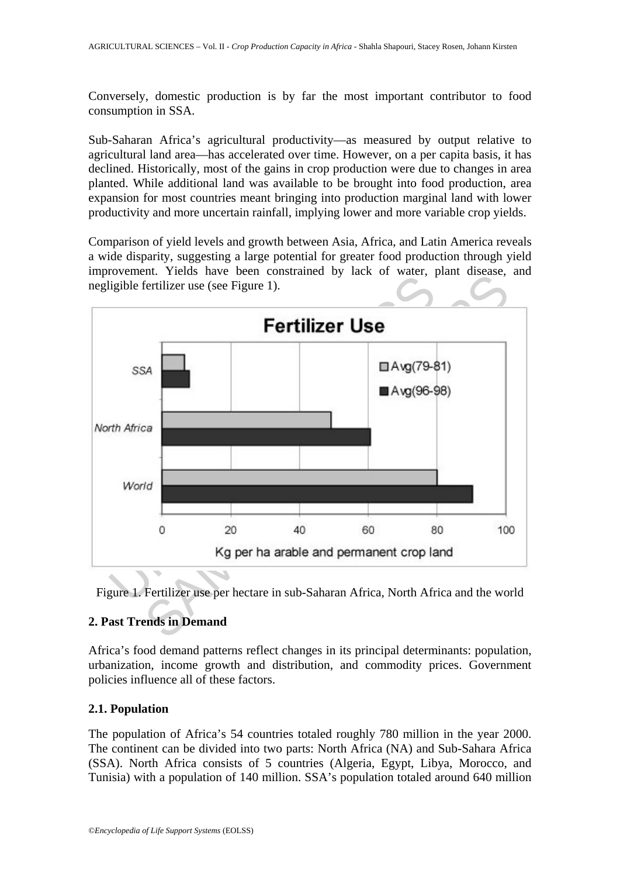Conversely, domestic production is by far the most important contributor to food consumption in SSA.

Sub-Saharan Africa's agricultural productivity—as measured by output relative to agricultural land area—has accelerated over time. However, on a per capita basis, it has declined. Historically, most of the gains in crop production were due to changes in area planted. While additional land was available to be brought into food production, area expansion for most countries meant bringing into production marginal land with lower productivity and more uncertain rainfall, implying lower and more variable crop yields.

Comparison of yield levels and growth between Asia, Africa, and Latin America reveals a wide disparity, suggesting a large potential for greater food production through yield improvement. Yields have been constrained by lack of water, plant disease, and negligible fertilizer use (see Figure 1).



Figure 1. Fertilizer use per hectare in sub-Saharan Africa, North Africa and the world

## **2. Past Trends in Demand**

Africa's food demand patterns reflect changes in its principal determinants: population, urbanization, income growth and distribution, and commodity prices. Government policies influence all of these factors.

### **2.1. Population**

The population of Africa's 54 countries totaled roughly 780 million in the year 2000. The continent can be divided into two parts: North Africa (NA) and Sub-Sahara Africa (SSA). North Africa consists of 5 countries (Algeria, Egypt, Libya, Morocco, and Tunisia) with a population of 140 million. SSA's population totaled around 640 million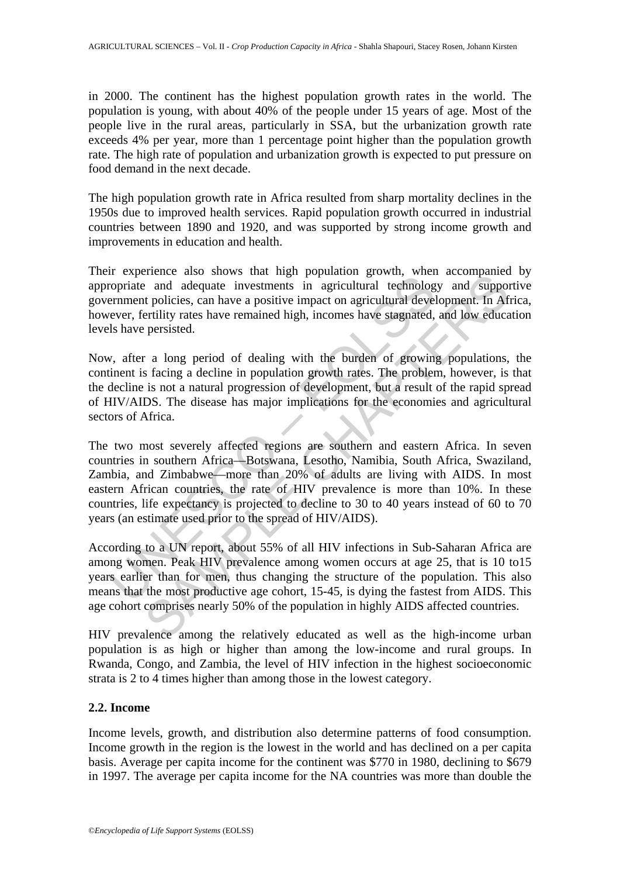in 2000. The continent has the highest population growth rates in the world. The population is young, with about 40% of the people under 15 years of age. Most of the people live in the rural areas, particularly in SSA, but the urbanization growth rate exceeds 4% per year, more than 1 percentage point higher than the population growth rate. The high rate of population and urbanization growth is expected to put pressure on food demand in the next decade.

The high population growth rate in Africa resulted from sharp mortality declines in the 1950s due to improved health services. Rapid population growth occurred in industrial countries between 1890 and 1920, and was supported by strong income growth and improvements in education and health.

Their experience also shows that high population growth, when accompanied by appropriate and adequate investments in agricultural technology and supportive government policies, can have a positive impact on agricultural development. In Africa, however, fertility rates have remained high, incomes have stagnated, and low education levels have persisted.

Now, after a long period of dealing with the burden of growing populations, the continent is facing a decline in population growth rates. The problem, however, is that the decline is not a natural progression of development, but a result of the rapid spread of HIV/AIDS. The disease has major implications for the economies and agricultural sectors of Africa.

represents and angular in experiments in agricultural technological properation in the model and adequate investments in agricultural technologierment policies, can have a positive impact on agricultural develover, fertili Frame and adequate investments in agricultural technology and support<br>
and adequate investments in agricultural technology and support<br>
policies, can have a positive impact on agricultural development. In After<br>
triplity The two most severely affected regions are southern and eastern Africa. In seven countries in southern Africa—Botswana, Lesotho, Namibia, South Africa, Swaziland, Zambia, and Zimbabwe—more than 20% of adults are living with AIDS. In most eastern African countries, the rate of HIV prevalence is more than 10%. In these countries, life expectancy is projected to decline to 30 to 40 years instead of 60 to 70 years (an estimate used prior to the spread of HIV/AIDS).

According to a UN report, about 55% of all HIV infections in Sub-Saharan Africa are among women. Peak HIV prevalence among women occurs at age 25, that is 10 to15 years earlier than for men, thus changing the structure of the population. This also means that the most productive age cohort, 15-45, is dying the fastest from AIDS. This age cohort comprises nearly 50% of the population in highly AIDS affected countries.

HIV prevalence among the relatively educated as well as the high-income urban population is as high or higher than among the low-income and rural groups. In Rwanda, Congo, and Zambia, the level of HIV infection in the highest socioeconomic strata is 2 to 4 times higher than among those in the lowest category.

### **2.2. Income**

Income levels, growth, and distribution also determine patterns of food consumption. Income growth in the region is the lowest in the world and has declined on a per capita basis. Average per capita income for the continent was \$770 in 1980, declining to \$679 in 1997. The average per capita income for the NA countries was more than double the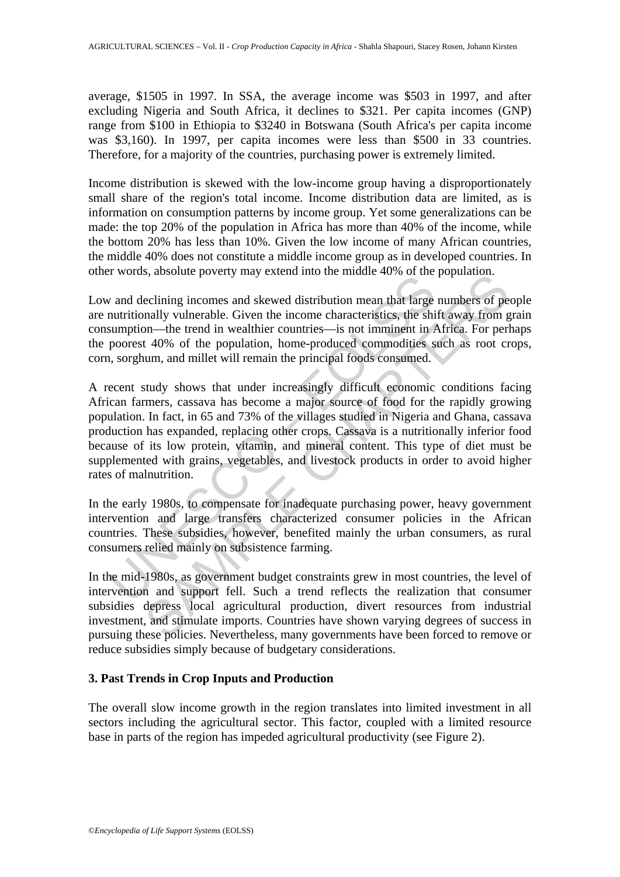average, \$1505 in 1997. In SSA, the average income was \$503 in 1997, and after excluding Nigeria and South Africa, it declines to \$321. Per capita incomes (GNP) range from \$100 in Ethiopia to \$3240 in Botswana (South Africa's per capita income was \$3,160). In 1997, per capita incomes were less than \$500 in 33 countries. Therefore, for a majority of the countries, purchasing power is extremely limited.

Income distribution is skewed with the low-income group having a disproportionately small share of the region's total income. Income distribution data are limited, as is information on consumption patterns by income group. Yet some generalizations can be made: the top 20% of the population in Africa has more than 40% of the income, while the bottom 20% has less than 10%. Given the low income of many African countries, the middle 40% does not constitute a middle income group as in developed countries. In other words, absolute poverty may extend into the middle 40% of the population.

Low and declining incomes and skewed distribution mean that large numbers of people are nutritionally vulnerable. Given the income characteristics, the shift away from grain consumption—the trend in wealthier countries—is not imminent in Africa. For perhaps the poorest 40% of the population, home-produced commodities such as root crops, corn, sorghum, and millet will remain the principal foods consumed.

radicular process, associate process and skewed distribution mean that large nutritionally vulnerable. Given the income characteristics, the shi sumption—the trend in wealthier countries—is not imminent in *P* poorest 40% s, assolute poverty may extend mito the minate 40% of the population.<br>
Eeclining incomes and skewed distribution mean that large numbers of per<br>
non-the trend in wealthier countries—is not imminent in Africa. For pert<br>
140 A recent study shows that under increasingly difficult economic conditions facing African farmers, cassava has become a major source of food for the rapidly growing population. In fact, in 65 and 73% of the villages studied in Nigeria and Ghana, cassava production has expanded, replacing other crops. Cassava is a nutritionally inferior food because of its low protein, vitamin, and mineral content. This type of diet must be supplemented with grains, vegetables, and livestock products in order to avoid higher rates of malnutrition.

In the early 1980s, to compensate for inadequate purchasing power, heavy government intervention and large transfers characterized consumer policies in the African countries. These subsidies, however, benefited mainly the urban consumers, as rural consumers relied mainly on subsistence farming.

In the mid-1980s, as government budget constraints grew in most countries, the level of intervention and support fell. Such a trend reflects the realization that consumer subsidies depress local agricultural production, divert resources from industrial investment, and stimulate imports. Countries have shown varying degrees of success in pursuing these policies. Nevertheless, many governments have been forced to remove or reduce subsidies simply because of budgetary considerations.

## **3. Past Trends in Crop Inputs and Production**

The overall slow income growth in the region translates into limited investment in all sectors including the agricultural sector. This factor, coupled with a limited resource base in parts of the region has impeded agricultural productivity (see Figure 2).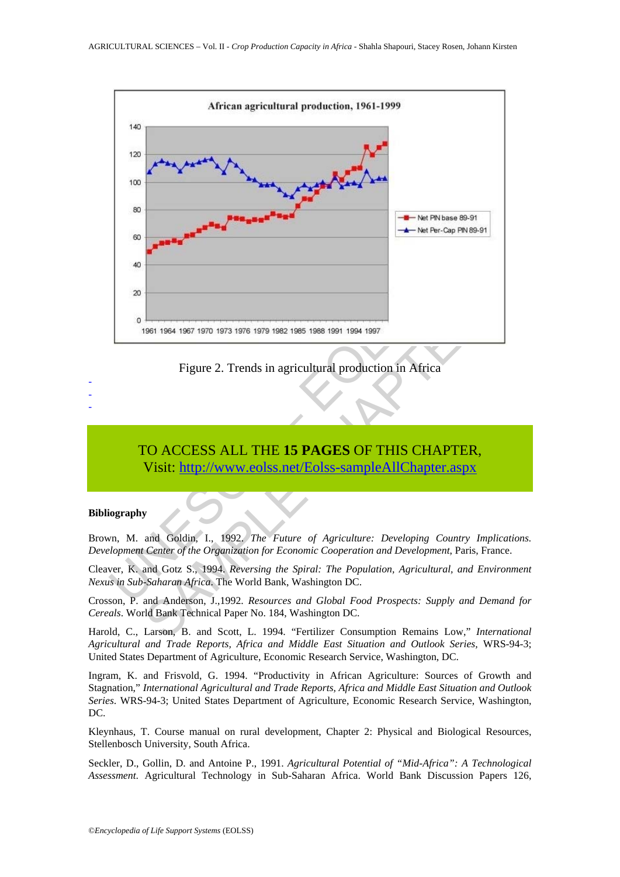



## TO ACCESS ALL THE **15 PAGES** OF THIS CHAPTER, Visit: http://www.eolss.net/Eolss-sampleAllChapter.aspx

#### **Bibliography**

- - -

Brown, M. and Goldin, I., 1992. *The Future of Agriculture: Developing Country Implications. Development Center of the Organization for Economic Cooperation and Development*, Paris, France.

Cleaver, K. and Gotz S., 1994. *Reversing the Spiral: The Population, Agricultural, and Environment Nexus in Sub-Saharan Africa*. The World Bank, Washington DC.

Crosson, P. and Anderson, J.,1992. *Resources and Global Food Prospects: Supply and Demand for Cereals*. World Bank Technical Paper No. 184, Washington DC.

Harold, C., Larson, B. and Scott, L. 1994. "Fertilizer Consumption Remains Low," *International Agricultural and Trade Reports, Africa and Middle East Situation and Outlook Series,* WRS-94-3; United States Department of Agriculture, Economic Research Service, Washington, DC.

Ingram, K. and Frisvold, G. 1994. "Productivity in African Agriculture: Sources of Growth and Stagnation," *International Agricultural and Trade Reports, Africa and Middle East Situation and Outlook Series*. WRS-94-3; United States Department of Agriculture, Economic Research Service, Washington, DC.

Kleynhaus, T. Course manual on rural development, Chapter 2: Physical and Biological Resources, Stellenbosch University, South Africa.

Seckler, D., Gollin, D. and Antoine P., 1991. *Agricultural Potential of "Mid-Africa": A Technological Assessment*. Agricultural Technology in Sub-Saharan Africa. World Bank Discussion Papers 126,